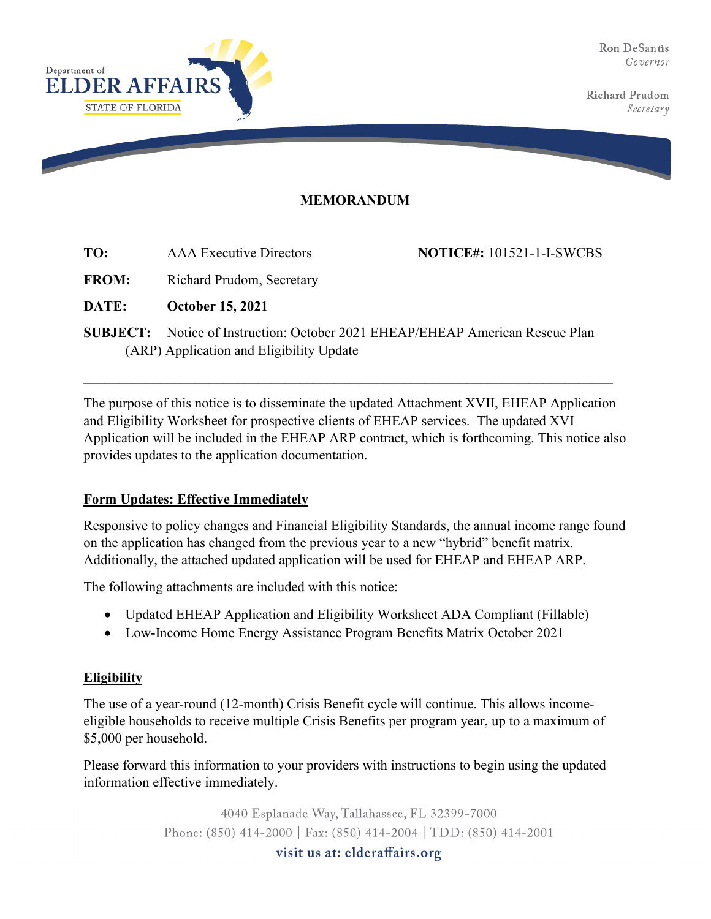Ron DeSantis Governor

Richard Prudom Secretary



## **MEMORANDUM**

**NOTICE#:** 101521-1-I-SWCBS

FROM: Richard Prudom, Secretary

**DATE: October 15, 2021**

**SUBJECT:** Notice of Instruction: October 2021 EHEAP/EHEAP American Rescue Plan (ARP) Application and Eligibility Update

**\_\_\_\_\_\_\_\_\_\_\_\_\_\_\_\_\_\_\_\_\_\_\_\_\_\_\_\_\_\_\_\_\_\_\_\_\_\_\_\_\_\_\_\_\_\_\_\_\_\_\_\_\_\_\_\_\_\_\_\_\_\_\_\_\_\_\_\_\_\_\_\_\_\_\_\_**

The purpose of this notice is to disseminate the updated Attachment XVII, EHEAP Application and Eligibility Worksheet for prospective clients of EHEAP services. The updated XVI Application will be included in the EHEAP ARP contract, which is forthcoming. This notice also provides updates to the application documentation.

## **Form Updates: Effective Immediately**

Responsive to policy changes and Financial Eligibility Standards, the annual income range found on the application has changed from the previous year to a new "hybrid" benefit matrix. Additionally, the attached updated application will be used for EHEAP and EHEAP ARP.

The following attachments are included with this notice:

- Updated EHEAP Application and Eligibility Worksheet ADA Compliant (Fillable)
- Low-Income Home Energy Assistance Program Benefits Matrix October 2021

## **Eligibility**

The use of a year-round (12-month) Crisis Benefit cycle will continue. This allows incomeeligible households to receive multiple Crisis Benefits per program year, up to a maximum of \$5,000 per household.

Please forward this information to your providers with instructions to begin using the updated information effective immediately.

> 4040 Esplanade Way, Tallahassee, FL 32399-7000 Phone: (850) 414-2000 | Fax: (850) 414-2004 | TDD: (850) 414-2001

> > visit us at: elderaffairs.org